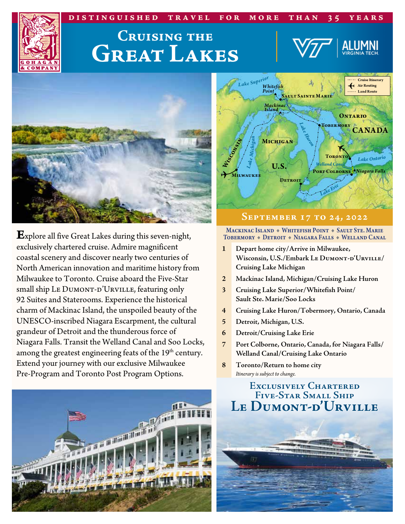### **distinguished travel for more than 35 years**



# **Cruising the Great Lakes**





**E**xplore all five Great Lakes during this seven-night, exclusively chartered cruise. Admire magnificent coastal scenery and discover nearly two centuries of North American innovation and maritime history from Milwaukee to Toronto. Cruise aboard the Five-Star small ship LE DUMONT-D'URVILLE, featuring only 92 Suites and Staterooms. Experience the historical charm of Mackinac Island, the unspoiled beauty of the UNESCO-inscribed Niagara Escarpment, the cultural grandeur of Detroit and the thunderous force of Niagara Falls. Transit the Welland Canal and Soo Locks, among the greatest engineering feats of the 19<sup>th</sup> century. Extend your journey with our exclusive Milwaukee Pre-Program and Toronto Post Program Options.





#### **September 17 to 24, 2022**

Mackinac Island + Whitefish Point + Sault Ste. Marie TOBERMORY + DETROIT + NIAGARA FALLS + WELLAND CANAL

- **1 Depart home city/Arrive in Milwaukee, Wisconsin, U.S./Embark Le Dumont-d'Urville/ Cruising Lake Michigan**
- **2 Mackinac Island, Michigan/Cruising Lake Huron**
- **3 Cruising Lake Superior/Whitefish Point/ Sault Ste. Marie/Soo Locks**
- **4 Cruising Lake Huron/Tobermory, Ontario, Canada**
- **5 Detroit, Michigan, U.S.**
- **6 Detroit/Cruising Lake Erie**
- **7 Port Colborne, Ontario, Canada, for Niagara Falls/ Welland Canal/Cruising Lake Ontario**
- **8 Toronto/Return to home city** *Itinerary is subject to change.*

### **Exclusively Chartered Five-Star Small Ship Le Dumont-d'Urville**